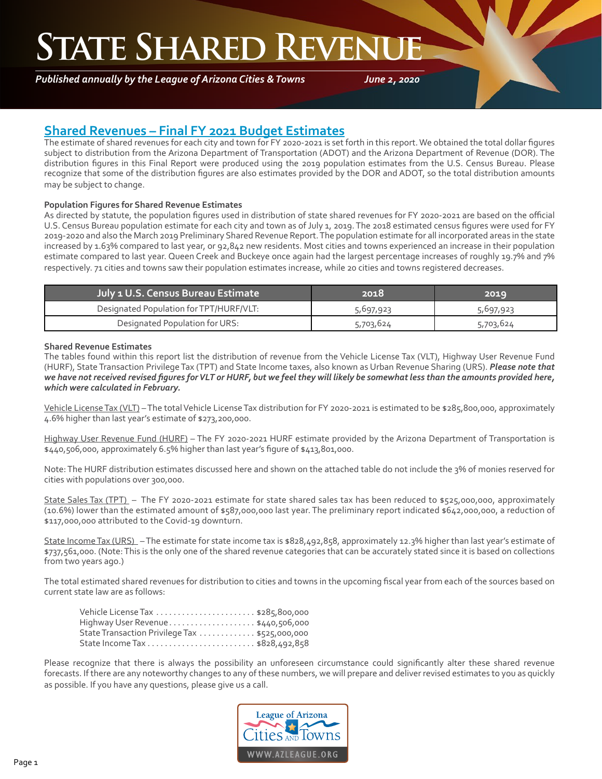### **STATE SHARED REVENU**

*Published annually by the League of Arizona Cities & Towns*

*June 2, 2020*

### **Shared Revenues – Final FY 2021 Budget Estimates**

The estimate of shared revenues for each city and town for FY 2020-2021 is set forth in this report. We obtained the total dollar figures subject to distribution from the Arizona Department of Transportation (ADOT) and the Arizona Department of Revenue (DOR). The distribution figures in this Final Report were produced using the 2019 population estimates from the U.S. Census Bureau. Please recognize that some of the distribution figures are also estimates provided by the DOR and ADOT, so the total distribution amounts may be subject to change.

#### **Population Figures for Shared Revenue Estimates**

As directed by statute, the population figures used in distribution of state shared revenues for FY 2020-2021 are based on the official U.S. Census Bureau population estimate for each city and town as of July 1, 2019. The 2018 estimated census figures were used for FY 2019-2020 and also the March 2019 Preliminary Shared Revenue Report. The population estimate for all incorporated areas in the state increased by 1.63% compared to last year, or 92,842 new residents. Most cities and towns experienced an increase in their population estimate compared to last year. Queen Creek and Buckeye once again had the largest percentage increases of roughly 19.7% and 7% respectively. 71 cities and towns saw their population estimates increase, while 20 cities and towns registered decreases.

| <b>July 1 U.S. Census Bureau Estimate</b> | 2018      | 2019      |
|-------------------------------------------|-----------|-----------|
| Designated Population for TPT/HURF/VLT:   | 5,697,923 | 5,697,923 |
| Designated Population for URS:            | 5,703,624 | 5,703,624 |

#### **Shared Revenue Estimates**

The tables found within this report list the distribution of revenue from the Vehicle License Tax (VLT), Highway User Revenue Fund (HURF), State Transaction Privilege Tax (TPT) and State Income taxes, also known as Urban Revenue Sharing (URS). *Please note that we have not received revised figures for VLT or HURF, but we feel they will likely be somewhat less than the amounts provided here, which were calculated in February.*

Vehicle License Tax (VLT) – The total Vehicle License Tax distribution for FY 2020-2021 is estimated to be \$285,800,000, approximately 4.6% higher than last year's estimate of \$273,200,000.

Highway User Revenue Fund (HURF) - The FY 2020-2021 HURF estimate provided by the Arizona Department of Transportation is \$440,506,000, approximately 6.5% higher than last year's figure of \$413,801,000.

Note: The HURF distribution estimates discussed here and shown on the attached table do not include the 3% of monies reserved for cities with populations over 300,000.

State Sales Tax (TPT) – The FY 2020-2021 estimate for state shared sales tax has been reduced to \$525,000,000, approximately (10.6%) lower than the estimated amount of \$587,000,000 last year. The preliminary report indicated \$642,000,000, a reduction of \$117,000,000 attributed to the Covid-19 downturn.

State Income Tax (URS) - The estimate for state income tax is \$828,492,858, approximately 12.3% higher than last year's estimate of \$737,561,000. (Note: This is the only one of the shared revenue categories that can be accurately stated since it is based on collections from two years ago.)

The total estimated shared revenues for distribution to cities and towns in the upcoming fiscal year from each of the sources based on current state law are as follows:

| Highway User Revenue \$440,506,000            |  |
|-----------------------------------------------|--|
| State Transaction Privilege Tax \$525,000,000 |  |
|                                               |  |

Please recognize that there is always the possibility an unforeseen circumstance could significantly alter these shared revenue forecasts. If there are any noteworthy changes to any of these numbers, we will prepare and deliver revised estimates to you as quickly as possible. If you have any questions, please give us a call.

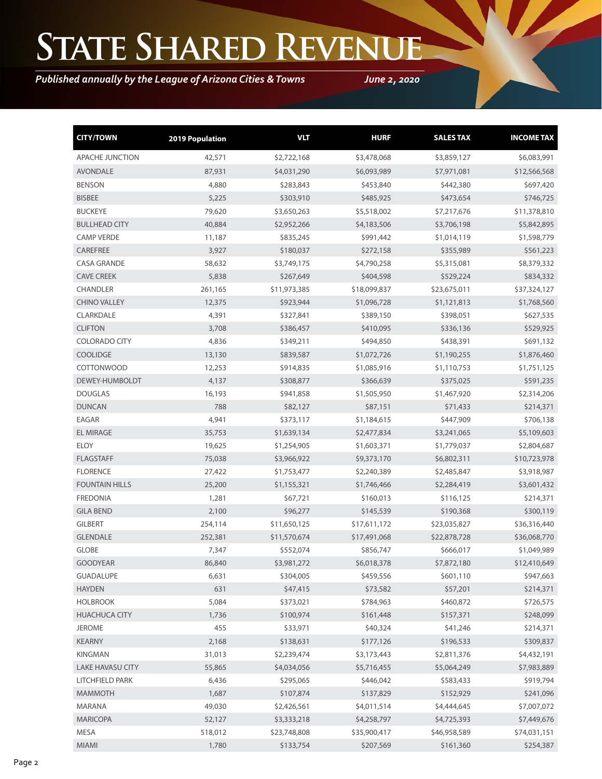# **State Shared Revenue**

*Published annually by the League of Arizona Cities & Towns*

*June 2, 2020*

| <b>CITY/TOWN</b>        | 2019 Population | <b>VLT</b>   | <b>HURF</b>  | <b>SALES TAX</b> | <b>INCOME TAX</b> |
|-------------------------|-----------------|--------------|--------------|------------------|-------------------|
| <b>APACHE JUNCTION</b>  | 42,571          | \$2,722,168  | \$3,478,068  | \$3,859,127      | \$6,083,991       |
| <b>AVONDALE</b>         | 87,931          | \$4,031,290  | \$6,093,989  | \$7,971,081      | \$12,566,568      |
| <b>BENSON</b>           | 4,880           | \$283,843    | \$453,840    | \$442,380        | \$697,420         |
| <b>BISBEE</b>           | 5,225           | \$303,910    | \$485,925    | \$473,654        | \$746,725         |
| <b>BUCKEYE</b>          | 79,620          | \$3,650,263  | \$5,518,002  | \$7,217,676      | \$11,378,810      |
| <b>BULLHEAD CITY</b>    | 40,884          | \$2,952,266  | \$4,183,506  | \$3,706,198      | \$5,842,895       |
| <b>CAMP VERDE</b>       | 11,187          | \$835,245    | \$991,442    | \$1,014,119      | \$1,598,779       |
| CAREFREE                | 3,927           | \$180,037    | \$272,158    | \$355,989        | \$561,223         |
| <b>CASA GRANDE</b>      | 58,632          | \$3,749,175  | \$4,790,258  | \$5,315,081      | \$8,379,332       |
| <b>CAVE CREEK</b>       | 5,838           | \$267,649    | \$404,598    | \$529,224        | \$834,332         |
| <b>CHANDLER</b>         | 261,165         | \$11,973,385 | \$18,099,837 | \$23,675,011     | \$37,324,127      |
| <b>CHINO VALLEY</b>     | 12,375          | \$923,944    | \$1,096,728  | \$1,121,813      | \$1,768,560       |
| CLARKDALE               | 4,391           | \$327,841    | \$389,150    | \$398,051        | \$627,535         |
| <b>CLIFTON</b>          | 3,708           | \$386,457    | \$410,095    | \$336,136        | \$529,925         |
| <b>COLORADO CITY</b>    | 4,836           | \$349,211    | \$494,850    | \$438,391        | \$691,132         |
| <b>COOLIDGE</b>         | 13,130          | \$839,587    | \$1,072,726  | \$1,190,255      | \$1,876,460       |
| <b>COTTONWOOD</b>       | 12,253          | \$914,835    | \$1,085,916  | \$1,110,753      | \$1,751,125       |
| DEWEY-HUMBOLDT          | 4,137           | \$308,877    | \$366,639    | \$375,025        | \$591,235         |
| <b>DOUGLAS</b>          | 16,193          | \$941,858    | \$1,505,950  | \$1,467,920      | \$2,314,206       |
| <b>DUNCAN</b>           | 788             | \$82,127     | \$87,151     | \$71,433         | \$214,371         |
| <b>EAGAR</b>            | 4,941           | \$373,117    | \$1,184,615  | \$447,909        | \$706,138         |
| <b>EL MIRAGE</b>        | 35,753          | \$1,639,134  | \$2,477,834  | \$3,241,065      | \$5,109,603       |
| <b>ELOY</b>             | 19,625          | \$1,254,905  | \$1,603,371  | \$1,779,037      | \$2,804,687       |
| <b>FLAGSTAFF</b>        | 75,038          | \$3,966,922  | \$9,373,170  | \$6,802,311      | \$10,723,978      |
| <b>FLORENCE</b>         | 27,422          | \$1,753,477  | \$2,240,389  | \$2,485,847      | \$3,918,987       |
| <b>FOUNTAIN HILLS</b>   | 25,200          | \$1,155,321  | \$1,746,466  | \$2,284,419      | \$3,601,432       |
| <b>FREDONIA</b>         | 1,281           | \$67,721     | \$160,013    | \$116,125        | \$214,371         |
| <b>GILA BEND</b>        | 2,100           | \$96,277     | \$145,539    | \$190,368        | \$300,119         |
| <b>GILBERT</b>          | 254,114         | \$11,650,125 | \$17,611,172 | \$23,035,827     | \$36,316,440      |
| <b>GLENDALE</b>         | 252,381         | \$11,570,674 | \$17,491,068 | \$22,878,728     | \$36,068,770      |
| <b>GLOBE</b>            | 7,347           | \$552,074    | \$856,747    | \$666,017        | \$1,049,989       |
| <b>GOODYEAR</b>         | 86,840          | \$3,981,272  | \$6,018,378  | \$7,872,180      | \$12,410,649      |
| <b>GUADALUPE</b>        | 6,631           | \$304,005    | \$459,556    | \$601,110        | \$947,663         |
| <b>HAYDEN</b>           | 631             | \$47,415     | \$73,582     | \$57,201         | \$214,371         |
| <b>HOLBROOK</b>         | 5,084           | \$373,021    | \$784,963    | \$460,872        | \$726,575         |
| <b>HUACHUCA CITY</b>    | 1,736           | \$100,974    | \$161,448    | \$157,371        | \$248,099         |
| <b>JEROME</b>           | 455             | \$33,971     | \$40,324     | \$41,246         | \$214,371         |
| <b>KEARNY</b>           | 2,168           | \$138,631    | \$177,126    | \$196,533        | \$309,837         |
| <b>KINGMAN</b>          | 31,013          | \$2,239,474  | \$3,173,443  | \$2,811,376      | \$4,432,191       |
| <b>LAKE HAVASU CITY</b> | 55,865          | \$4,034,056  | \$5,716,455  | \$5,064,249      | \$7,983,889       |
| LITCHFIELD PARK         | 6,436           | \$295,065    | \$446,042    | \$583,433        | \$919,794         |
| <b>MAMMOTH</b>          | 1,687           | \$107,874    | \$137,829    | \$152,929        | \$241,096         |
| MARANA                  | 49,030          | \$2,426,561  | \$4,011,514  | \$4,444,645      | \$7,007,072       |
| <b>MARICOPA</b>         | 52,127          | \$3,333,218  | \$4,258,797  | \$4,725,393      | \$7,449,676       |
| MESA                    | 518,012         | \$23,748,808 | \$35,900,417 | \$46,958,589     | \$74,031,151      |
| MIAMI                   | 1,780           | \$133,754    | \$207,569    | \$161,360        | \$254,387         |